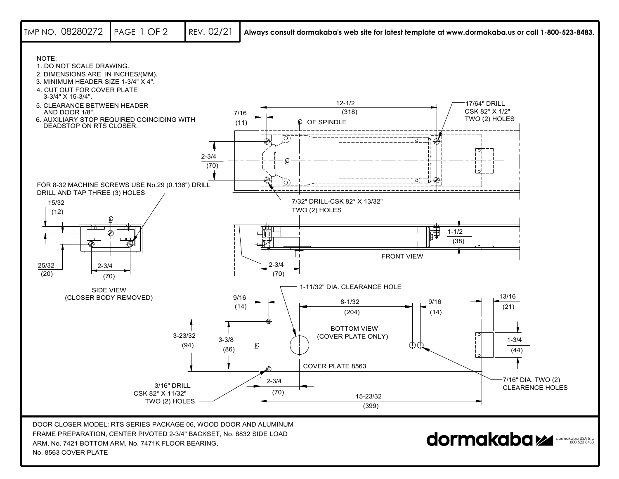